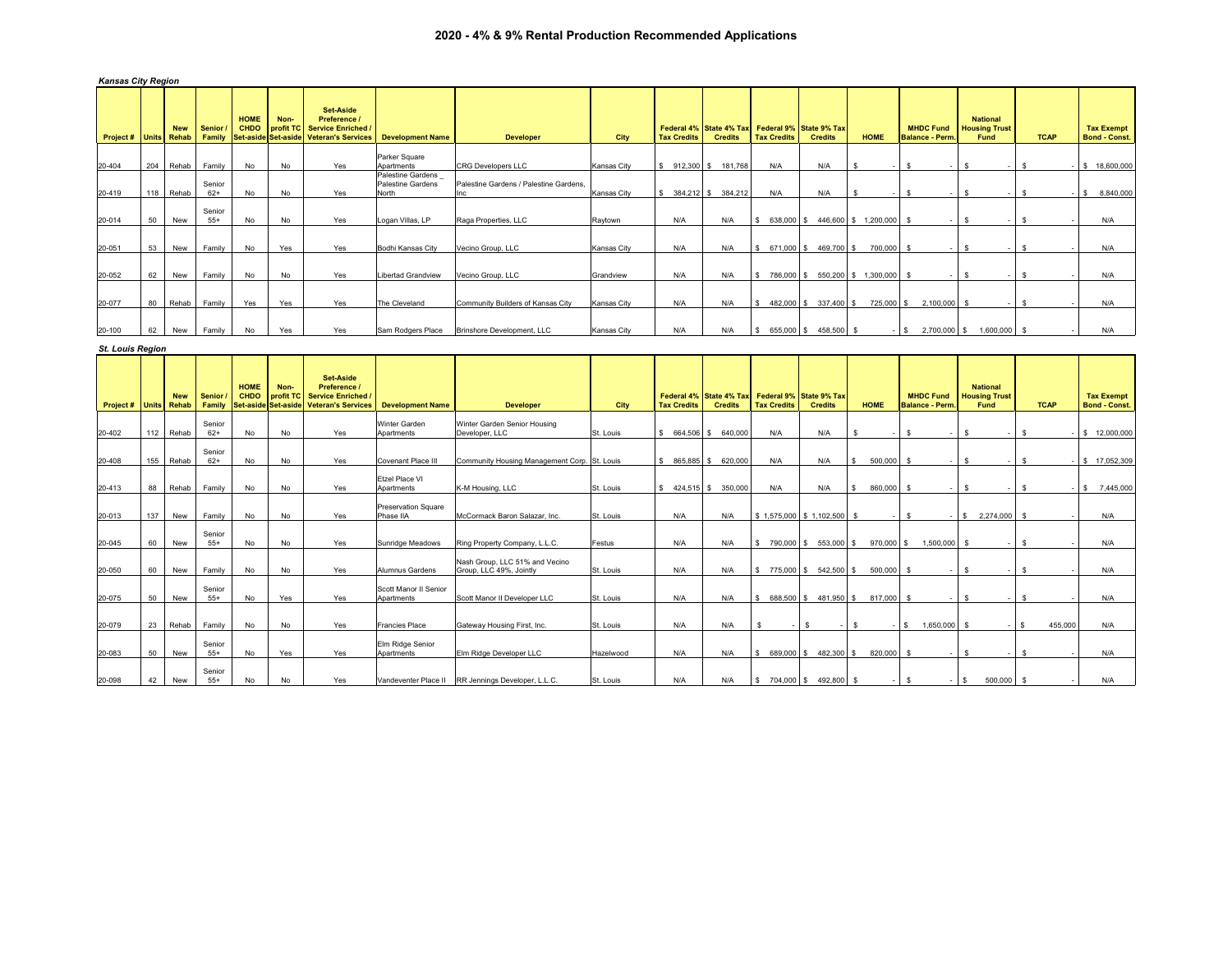## **2020 - 4% & 9% Rental Production Recommended Applications**

|  | <b>Kansas City Region</b> |  |
|--|---------------------------|--|
|--|---------------------------|--|

| Project# | <b>Units</b> | <b>New</b><br>Rehab | <b>Senior</b><br>Family | <b>HOME</b><br><b>CHDO</b> | Non- | <b>Set-Aside</b><br>Preference /<br>profit TC Service Enriched /<br>Set-aside Set-aside Veteran's Services | <b>Development Name</b>                                | <b>Developer</b>                              | <b>City</b> | <b>Tax Credits</b> | Federal 4% State 4% Tax Federal 9% State 9% Tax<br><b>Credits</b> | <b>Tax Credits</b> | <b>Credits</b> |            | <b>HOME</b>          | <b>MHDC Fund</b><br><b>Balance - Perm.</b> | <b>National</b><br><b>Housing Trust</b><br>Fund | <b>TCAP</b> |      | <b>Tax Exempt</b><br><b>Bond - Const.</b> |
|----------|--------------|---------------------|-------------------------|----------------------------|------|------------------------------------------------------------------------------------------------------------|--------------------------------------------------------|-----------------------------------------------|-------------|--------------------|-------------------------------------------------------------------|--------------------|----------------|------------|----------------------|--------------------------------------------|-------------------------------------------------|-------------|------|-------------------------------------------|
|          |              |                     |                         |                            |      |                                                                                                            | Parker Square                                          |                                               |             |                    |                                                                   |                    |                |            |                      |                                            |                                                 |             |      |                                           |
| 20-404   | 204          | Rehab               | Family                  | No                         | No   | Yes                                                                                                        | Apartments                                             | <b>CRG Developers LLC</b>                     | Kansas City | 912,300 \$<br>s    | 181.768                                                           | N/A                | N/A            |            |                      | - S                                        | $-1$                                            | -S          |      | $-$ \$ 18,600,000                         |
| 20-419   | 118          | Rehab               | Senior<br>$62+$         | No                         | No   | Yes                                                                                                        | Palestine Gardens<br><b>Palestine Gardens</b><br>North | Palestine Gardens / Palestine Gardens.<br>Inc | Kansas City |                    | 384,212 \$ 384,212                                                | N/A                | N/A            |            |                      | - S                                        | -S                                              | - 55        | $-5$ | 8,840,000                                 |
|          |              |                     |                         |                            |      |                                                                                                            |                                                        |                                               |             |                    |                                                                   |                    |                |            |                      |                                            |                                                 |             |      |                                           |
| 20-014   | 50           | New                 | Senior<br>$55+$         | No                         | No   | Yes                                                                                                        | Logan Villas, LP                                       | Raga Properties, LLC                          | Raytown     | N/A                | N/A                                                               | 638,000 \$<br>s.   |                |            | 446,600 \$ 1,200,000 |                                            |                                                 |             |      | N/A                                       |
| 20-051   | 53           | New                 | Family                  | No                         | Yes  | Yes                                                                                                        | Bodhi Kansas City                                      | Vecino Group, LLC                             | Kansas City | N/A                | N/A                                                               | 671,000 \$<br>S.   |                | 469,700 \$ | 700,000 \$           |                                            | - S<br>$\sim$                                   | -S          |      | N/A                                       |
| 20-052   | 62           | New                 | Family                  | No                         | No   | Yes                                                                                                        | <b>Libertad Grandview</b>                              | Vecino Group, LLC                             | Grandview   | N/A                | N/A                                                               | 786,000 \$<br>s.   |                |            | 550,200 \$ 1,300,000 |                                            |                                                 |             |      | N/A                                       |
| 20-077   | 80           | Rehab               | Family                  | Yes                        | Yes  | Yes                                                                                                        | The Cleveland                                          | Community Builders of Kansas City             | Kansas City | N/A                | N/A                                                               | 482,000 \$<br>\$.  |                | 337,400 \$ | 725,000 \$           | 2,100,000 \$                               |                                                 |             |      | N/A                                       |
|          |              |                     |                         |                            |      |                                                                                                            |                                                        |                                               |             |                    |                                                                   |                    |                |            |                      |                                            |                                                 |             |      |                                           |
| 20-100   | 62           | New                 | Family                  | No                         | Yes  | Yes                                                                                                        | Sam Rodgers Place                                      | Brinshore Development, LLC                    | Kansas City | N/A                | N/A                                                               | 655,000 \$<br>-S   |                | 458,500 \$ |                      | 2,700,000<br>$-1$ S                        | 1,600,000 \$                                    |             |      | N/A                                       |

| <b>St. Louis Region</b>      |     |            |                         |                                                          |                   |                                                                                   |                                         |                                                           |           |                       |                                           |                    |                                           |                         |                                           |                                                        |               |                                           |
|------------------------------|-----|------------|-------------------------|----------------------------------------------------------|-------------------|-----------------------------------------------------------------------------------|-----------------------------------------|-----------------------------------------------------------|-----------|-----------------------|-------------------------------------------|--------------------|-------------------------------------------|-------------------------|-------------------------------------------|--------------------------------------------------------|---------------|-------------------------------------------|
| <b>Project # Units Rehab</b> |     | <b>New</b> | <b>Senior</b><br>Family | <b>HOME</b><br><b>CHDO</b><br><b>Set-aside Set-aside</b> | Non-<br>profit TC | <b>Set-Aside</b><br>Preference /<br>Service Enriched<br><b>Veteran's Services</b> | <b>Development Name</b>                 | <b>Developer</b>                                          | City      | <b>Tax Credits</b>    | Federal 4% State 4% Tax<br><b>Credits</b> | <b>Tax Credits</b> | Federal 9% State 9% Tax<br><b>Credits</b> | <b>HOME</b>             | <b>MHDC Fund</b><br><b>Balance - Perm</b> | <b>National</b><br><b>Housing Trust</b><br><b>Fund</b> | <b>TCAP</b>   | <b>Tax Exempt</b><br><b>Bond - Const.</b> |
| 20-402                       | 112 | Rehab      | Senior<br>$62+$         | No                                                       | No                | Yes                                                                               | Winter Garden<br>Apartments             | Winter Garden Senior Housing<br>Developer, LLC            | St. Louis | \$ 664,506 \$ 640,000 |                                           | N/A                | N/A                                       |                         |                                           |                                                        |               | \$ 12,000,000                             |
| 20-408                       | 155 | Rehab      | Senior<br>$62+$         | No                                                       | No                | Yes                                                                               | <b>Covenant Place III</b>               | Community Housing Management Corp. St. Louis              |           | \$ 865,885 \$ 620,000 |                                           | N/A                | N/A                                       | 500,000<br>$\mathbf{s}$ |                                           | -S                                                     | -S            | $-$ \$ 17.052.309                         |
| 20-413                       | 88  | Rehab      | Family                  | No                                                       | No                | Yes                                                                               | <b>Ftzel Place VI</b><br>Apartments     | K-M Housing, LLC                                          | St. Louis | \$424,515 \$350,000   |                                           | N/A                | N/A                                       | 860,000<br>$\mathbf{s}$ |                                           | -S                                                     | s.            | 7,445,000<br>$-1$ s                       |
| 20-013                       | 137 | New        | Family                  | No                                                       | No                | Yes                                                                               | <b>Preservation Square</b><br>Phase IIA | McCormack Baron Salazar, Inc.                             | St. Louis | N/A                   | N/A                                       |                    | $$1.575.000 \;   \; $1.102.500 \;   \; $$ |                         | $\mathbf{s}$<br>$\overline{a}$            | S.<br>2.274.000                                        | - S           | N/A                                       |
| 20-045                       | 60  | New        | Senior<br>$55+$         | No                                                       | No                | Yes                                                                               | Sunridge Meadows                        | Ring Property Company, L.L.C.                             | Festus    | N/A                   | N/A                                       | S.                 | 790,000 \$ 553,000 \$                     | 970,000 \$              | 1,500,000                                 | <b>S</b>                                               | $\mathbf{s}$  | N/A                                       |
| 20-050                       | 60  | New        | Family                  | No                                                       | No                | Yes                                                                               | Alumnus Gardens                         | Nash Group, LLC 51% and Vecino<br>Group, LLC 49%, Jointly | St. Louis | N/A                   | N/A                                       | S.                 | 775,000 \$ 542,500 \$                     | 500,000                 | $\mathbf{\hat{z}}$                        | -S                                                     | S.            | N/A                                       |
| 20-075                       | 50  | New        | Senior<br>$55+$         | <b>No</b>                                                | Yes               | Yes                                                                               | Scott Manor II Senior<br>Apartments     | Scott Manor II Developer LLC                              | St. Louis | N/A                   | N/A                                       | 688,500 \$<br>1S   | 481.950 \$                                | 817,000                 | -S                                        | -S                                                     | -S            | N/A                                       |
| 20-079                       | 23  | Rehab      | Family                  | <b>No</b>                                                | No                | Yes                                                                               | <b>Francies Place</b>                   | Gateway Housing First, Inc.                               | St. Louis | N/A                   | N/A                                       |                    | s                                         | S.                      | 1,650,000<br>$-$ S                        | - S<br>$\sim$                                          | 1S<br>455.000 | N/A                                       |
| 20-083                       | 50  | New        | Senior<br>$55+$         | No                                                       | Yes               | Yes                                                                               | Elm Ridge Senior<br>Apartments          | Elm Ridge Developer LLC                                   | Hazelwood | N/A                   | N/A                                       | s.                 | 689,000 \$482,300 \$                      | 820,000                 | $\mathbf{s}$<br>$\overline{\phantom{a}}$  | s                                                      | -S            | N/A                                       |
| 20-098                       | 42  | New        | Senior<br>$55+$         | No                                                       | No                | Yes                                                                               |                                         | Vandeventer Place II RR Jennings Developer, L.L.C.        | St. Louis | N/A                   | N/A                                       | s.                 | 704,000 \$492,800 \$                      |                         | -S<br>$\overline{a}$                      | 500,000 \$<br>S.                                       |               | N/A                                       |